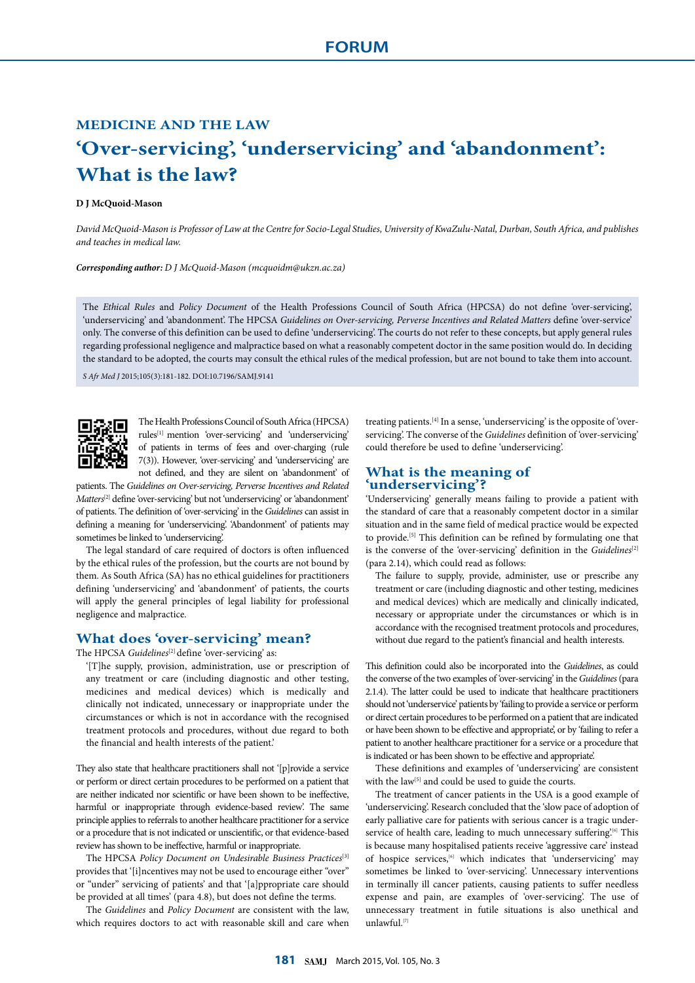# **MEDICINE AND THE LAW 'Over-servicing', 'underservicing' and 'abandonment': What is the law?**

## **D J McQuoid-Mason**

*David McQuoid-Mason is Professor of Law at the Centre for Socio-Legal Studies, University of KwaZulu-Natal, Durban, South Africa, and publishes and teaches in medical law.*

#### *Corresponding author: D J McQuoid-Mason (mcquoidm@ukzn.ac.za)*

The *Ethical Rules* and *Policy Document* of the Health Professions Council of South Africa (HPCSA) do not define 'over-servicing', 'underservicing' and 'abandonment'. The HPCSA *Guidelines on Over-servicing, Perverse Incentives and Related Matters define 'over-service'* only. The converse of this definition can be used to define 'underservicing'. The courts do not refer to these concepts, but apply general rules regarding professional negligence and malpractice based on what a reasonably competent doctor in the same position would do. In deciding the standard to be adopted, the courts may consult the ethical rules of the medical profession, but are not bound to take them into account.

*S Afr Med J* 2015;105(3):181-182. DOI:10.7196/SAMJ.9141



The Health Professions Council of South Africa (HPCSA) rules[1] mention 'over-servicing' and 'underservicing' of patients in terms of fees and over-charging (rule 7(3)). However, 'over-servicing' and 'underservicing' are not defined, and they are silent on 'abandonment' of

patients. The *Guidelines on Over-servicing, Perverse Incentives and Related Matters*[2] define 'over-servicing' but not 'underservicing' or 'abandonment' of patients. The definition of 'over-servicing' in the *Guidelines* can assist in defining a meaning for 'underservicing'. 'Abandonment' of patients may sometimes be linked to 'underservicing'.

The legal standard of care required of doctors is often influenced by the ethical rules of the profession, but the courts are not bound by them. As South Africa (SA) has no ethical guidelines for practitioners defining 'underservicing' and 'abandonment' of patients, the courts will apply the general principles of legal liability for professional negligence and malpractice.

## **What does 'over-servicing' mean?**

The HPCSA *Guidelines*<sup>[2]</sup> define 'over-servicing' as:

'[T]he supply, provision, administration, use or prescription of any treatment or care (including diagnostic and other testing, medicines and medical devices) which is medically and clinically not indicated, unnecessary or inappropriate under the circumstances or which is not in accordance with the recognised treatment protocols and procedures, without due regard to both the financial and health interests of the patient.'

They also state that healthcare practitioners shall not '[p]rovide a service or perform or direct certain procedures to be performed on a patient that are neither indicated nor scientific or have been shown to be ineffective, harmful or inappropriate through evidence-based review'. The same principle applies to referrals to another healthcare practitioner for a service or a procedure that is not indicated or unscientific, or that evidence-based review has shown to be ineffective, harmful or inappropriate.

The HPCSA *Policy Document on Undesirable Business Practices*[3] provides that '[i]ncentives may not be used to encourage either "over" or "under" servicing of patients' and that '[a]ppropriate care should be provided at all times' (para 4.8), but does not define the terms.

The *Guidelines* and *Policy Document* are consistent with the law, which requires doctors to act with reasonable skill and care when treating patients.[4] In a sense, 'underservicing' is the opposite of 'overservicing'. The converse of the *Guidelines* definition of 'over-servicing' could therefore be used to define 'underservicing'.

## **What is the meaning of 'underservicing'?**

'Underservicing' generally means failing to provide a patient with the standard of care that a reasonably competent doctor in a similar situation and in the same field of medical practice would be expected to provide.[5] This definition can be refined by formulating one that is the converse of the 'over-servicing' definition in the *Guidelines*<sup>[2]</sup> (para 2.14), which could read as follows:

The failure to supply, provide, administer, use or prescribe any treatment or care (including diagnostic and other testing, medicines and medical devices) which are medically and clinically indicated, necessary or appropriate under the circumstances or which is in accordance with the recognised treatment protocols and procedures, without due regard to the patient's financial and health interests.

This definition could also be incorporated into the *Guidelines*, as could the converse of the two examples of 'over-servicing' in the *Guidelines* (para 2.1.4). The latter could be used to indicate that healthcare practitioners should not 'underservice' patients by 'failing to provide a service or perform or direct certain procedures to be performed on a patient that are indicated or have been shown to be effective and appropriate', or by 'failing to refer a patient to another healthcare practitioner for a service or a procedure that is indicated or has been shown to be effective and appropriate'.

These definitions and examples of 'underservicing' are consistent with the law<sup>[5]</sup> and could be used to guide the courts.

The treatment of cancer patients in the USA is a good example of 'underservicing'. Research concluded that the 'slow pace of adoption of early palliative care for patients with serious cancer is a tragic underservice of health care, leading to much unnecessary suffering.<sup>[6]</sup> This is because many hospitalised patients receive 'aggressive care' instead of hospice services,<sup>[6]</sup> which indicates that 'underservicing' may sometimes be linked to 'over-servicing'. Unnecessary interventions in terminally ill cancer patients, causing patients to suffer needless expense and pain, are examples of 'over-servicing'. The use of unnecessary treatment in futile situations is also unethical and unlawful.[7]